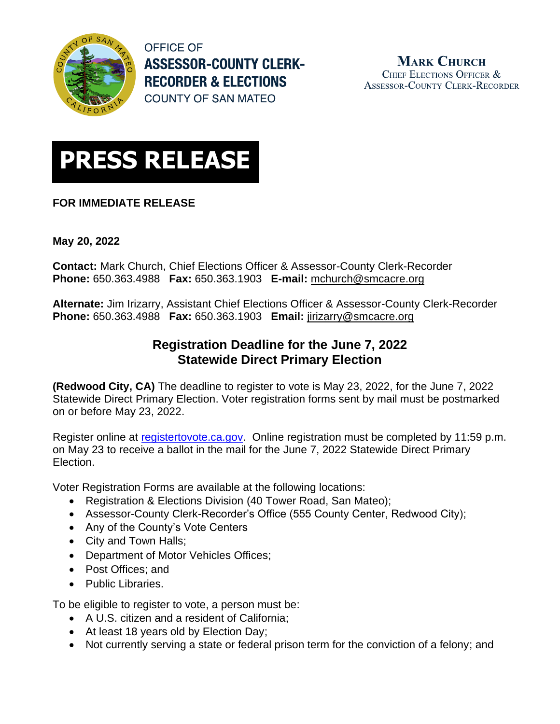

**OFFICE OF ASSESSOR-COUNTY CLERK-RECORDER & ELECTIONS COUNTY OF SAN MATEO** 

**MARK CHURCH** CHIEF ELECTIONS OFFICER & **ASSESSOR-COUNTY CLERK-RECORDER** 



## **FOR IMMEDIATE RELEASE**

**May 20, 2022**

**Contact:** Mark Church, Chief Elections Officer & Assessor-County Clerk-Recorder **Phone:** 650.363.4988 **Fax:** 650.363.1903 **E-mail:** [mchurch@smcacre.org](mailto:mchurch@smcacre.org)

**Alternate:** Jim Irizarry, Assistant Chief Elections Officer & Assessor-County Clerk-Recorder **Phone:** 650.363.4988 **Fax:** 650.363.1903 **Email:** [jirizarry@smcacre.org](mailto:jirizarry@smcacre.org)

# **Registration Deadline for the June 7, 2022 Statewide Direct Primary Election**

**(Redwood City, CA)** The deadline to register to vote is May 23, 2022, for the June 7, 2022 Statewide Direct Primary Election. Voter registration forms sent by mail must be postmarked on or before May 23, 2022.

Register online at [registertovote.ca.gov.](https://registertovote.ca.gov/) Online registration must be completed by 11:59 p.m. on May 23 to receive a ballot in the mail for the June 7, 2022 Statewide Direct Primary Election.

Voter Registration Forms are available at the following locations:

- Registration & Elections Division (40 Tower Road, San Mateo);
- Assessor-County Clerk-Recorder's Office (555 County Center, Redwood City);
- Any of the County's Vote Centers
- City and Town Halls;
- Department of Motor Vehicles Offices;
- Post Offices; and
- Public Libraries.

To be eligible to register to vote, a person must be:

- A U.S. citizen and a resident of California;
- At least 18 years old by Election Day;
- Not currently serving a state or federal prison term for the conviction of a felony; and